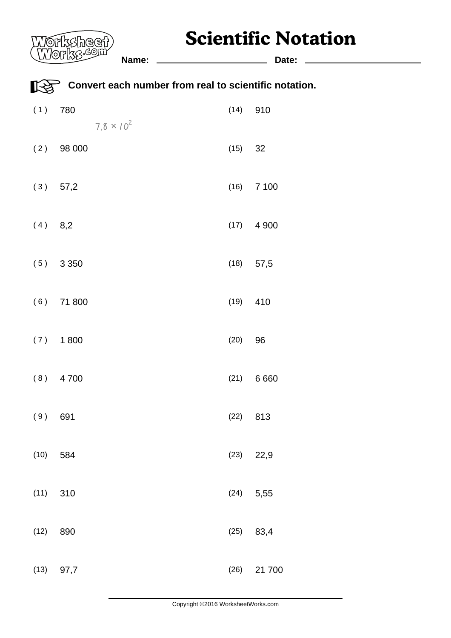## **Scientific Notation**

|           | <b>ZSheef</b> )<br>(O)                                |      | Scientific Notation |
|-----------|-------------------------------------------------------|------|---------------------|
|           | Name:                                                 |      | Date:               |
| ∐<≿       | Convert each number from real to scientific notation. |      |                     |
| (1)       | 780<br>$7.8 \times 10^{2}$                            | (14) | 910                 |
| (2)       | 98 000                                                | (15) | 32                  |
|           | $(3)$ 57,2                                            | (16) | 7 100               |
| $(4)$ 8,2 |                                                       | (17) | 4 9 0 0             |
|           | (5) 3350                                              | (18) | 57,5                |
| (6)       | 71 800                                                | (19) | 410                 |
| (7)       | 1800                                                  | (20) | 96                  |
|           | $(8)$ 4700                                            |      | (21) 6660           |
| (9)       | 691                                                   | (22) | 813                 |
| (10)      | 584                                                   | (23) | 22,9                |
| (11)      | 310                                                   | (24) | 5,55                |
| (12)      | 890                                                   | (25) | 83,4                |
| (13)      | 97,7                                                  | (26) | 21 700              |